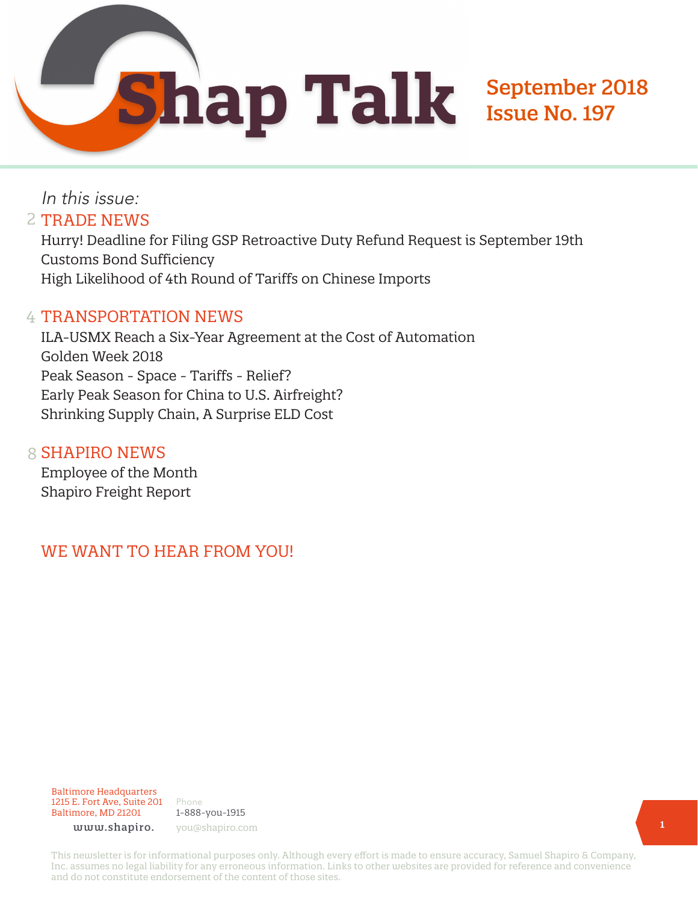In this issue: 2 TRADE NEWS

Hurry! Deadline for Filing GSP Retroactive Duty Refund Request is September 19th Customs Bond Sufficiency High Likelihood of 4th Round of Tariffs on Chinese Imports

#### 4 TRANSPORTATION NEWS

ILA-USMX Reach a Six-Year Agreement at the Cost of Automation Golden Week 2018 Peak Season - Space - Tariffs - Relief? Early Peak Season for China to U.S. Airfreight? Shrinking Supply Chain, A Surprise ELD Cost

#### 8 SHAPIRO NEWS

Employee of the Month Shapiro Freight Report

### WE WANT TO HEAR FROM YOU!

Baltimore Headquarters 1215 E. Fort Ave, Suite 201 Baltimore, MD 21201

Phone 1-888-you-1915 www.shapiro. you@shapiro.com

This newsletter is for informational purposes only. Although every effort is made to ensure accuracy, Samuel Shapiro & Company, Inc. assumes no legal liability for any erroneous information. Links to other websites are provided for reference and convenience and do not constitute endorsement of the content of those sites.

September 2018

Issue No. 197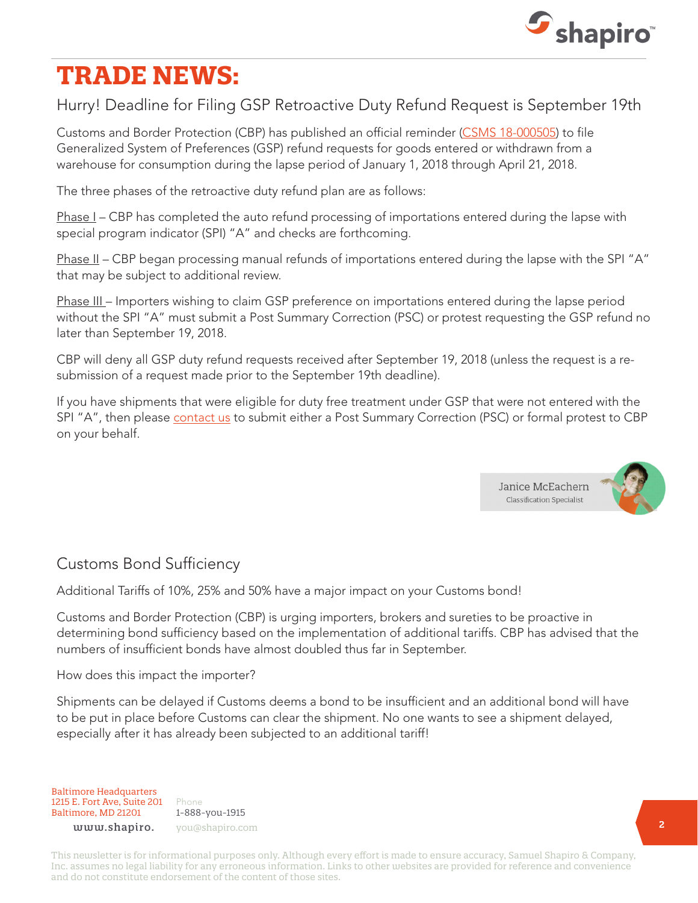

# **TRADE NEWS:**

### Hurry! Deadline for Filing GSP Retroactive Duty Refund Request is September 19th

Customs and Border Protection (CBP) has published an official reminder ([CSMS 18-000505\)](https://csms.cbp.gov/viewmssg.asp?Recid=23709&page=&srch_argv=&srchtype=&btype=&sortby=&sby=) to file Generalized System of Preferences (GSP) refund requests for goods entered or withdrawn from a warehouse for consumption during the lapse period of January 1, 2018 through April 21, 2018.

The three phases of the retroactive duty refund plan are as follows:

Phase I – CBP has completed the auto refund processing of importations entered during the lapse with special program indicator (SPI) "A" and checks are forthcoming.

Phase II - CBP began processing manual refunds of importations entered during the lapse with the SPI "A" that may be subject to additional review.

Phase III – Importers wishing to claim GSP preference on importations entered during the lapse period without the SPI "A" must submit a Post Summary Correction (PSC) or protest requesting the GSP refund no later than September 19, 2018.

CBP will deny all GSP duty refund requests received after September 19, 2018 (unless the request is a resubmission of a request made prior to the September 19th deadline).

If you have shipments that were eligible for duty free treatment under GSP that were not entered with the SPI "A", then please [contact us](https://www.shapiro.com/contact-us-cargo/) to submit either a Post Summary Correction (PSC) or formal protest to CBP on your behalf.



# Customs Bond Sufficiency

Additional Tariffs of 10%, 25% and 50% have a major impact on your Customs bond!

Customs and Border Protection (CBP) is urging importers, brokers and sureties to be proactive in determining bond sufficiency based on the implementation of additional tariffs. CBP has advised that the numbers of insufficient bonds have almost doubled thus far in September.

How does this impact the importer?

Shipments can be delayed if Customs deems a bond to be insufficient and an additional bond will have to be put in place before Customs can clear the shipment. No one wants to see a shipment delayed, especially after it has already been subjected to an additional tariff!

Baltimore Headquarters 1215 E. Fort Ave, Suite 201 Baltimore, MD 21201

Phone 1-888-you-1915 www.shapiro. you@shapiro.com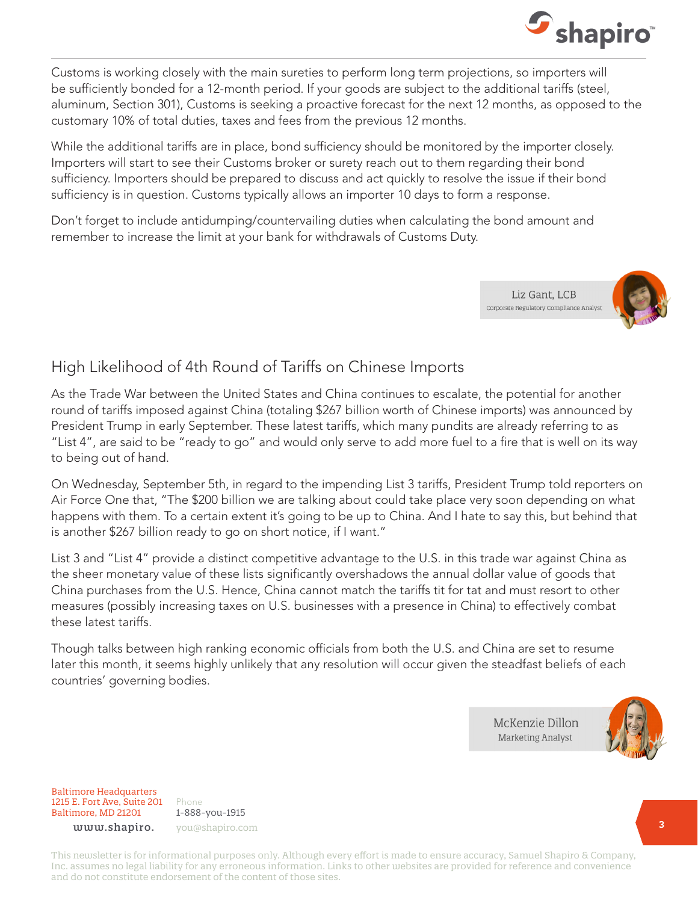

Customs is working closely with the main sureties to perform long term projections, so importers will be sufficiently bonded for a 12-month period. If your goods are subject to the additional tariffs (steel, aluminum, Section 301), Customs is seeking a proactive forecast for the next 12 months, as opposed to the customary 10% of total duties, taxes and fees from the previous 12 months.

While the additional tariffs are in place, bond sufficiency should be monitored by the importer closely. Importers will start to see their Customs broker or surety reach out to them regarding their bond sufficiency. Importers should be prepared to discuss and act quickly to resolve the issue if their bond sufficiency is in question. Customs typically allows an importer 10 days to form a response.

Don't forget to include antidumping/countervailing duties when calculating the bond amount and remember to increase the limit at your bank for withdrawals of Customs Duty.





#### High Likelihood of 4th Round of Tariffs on Chinese Imports

As the Trade War between the United States and China continues to escalate, the potential for another round of tariffs imposed against China (totaling \$267 billion worth of Chinese imports) was announced by President Trump in early September. These latest tariffs, which many pundits are already referring to as "List 4", are said to be "ready to go" and would only serve to add more fuel to a fire that is well on its way to being out of hand.

On Wednesday, September 5th, in regard to the impending List 3 tariffs, President Trump told reporters on Air Force One that, "The \$200 billion we are talking about could take place very soon depending on what happens with them. To a certain extent it's going to be up to China. And I hate to say this, but behind that is another \$267 billion ready to go on short notice, if I want."

List 3 and "List 4" provide a distinct competitive advantage to the U.S. in this trade war against China as the sheer monetary value of these lists significantly overshadows the annual dollar value of goods that China purchases from the U.S. Hence, China cannot match the tariffs tit for tat and must resort to other measures (possibly increasing taxes on U.S. businesses with a presence in China) to effectively combat these latest tariffs.

Though talks between high ranking economic officials from both the U.S. and China are set to resume later this month, it seems highly unlikely that any resolution will occur given the steadfast beliefs of each countries' governing bodies.

> McKenzie Dillon **Marketing Analyst**



Baltimore Headquarters 1215 E. Fort Ave, Suite 201 Baltimore, MD 21201

1-888-you-1915 www.shapiro. you@shapiro.com

Phone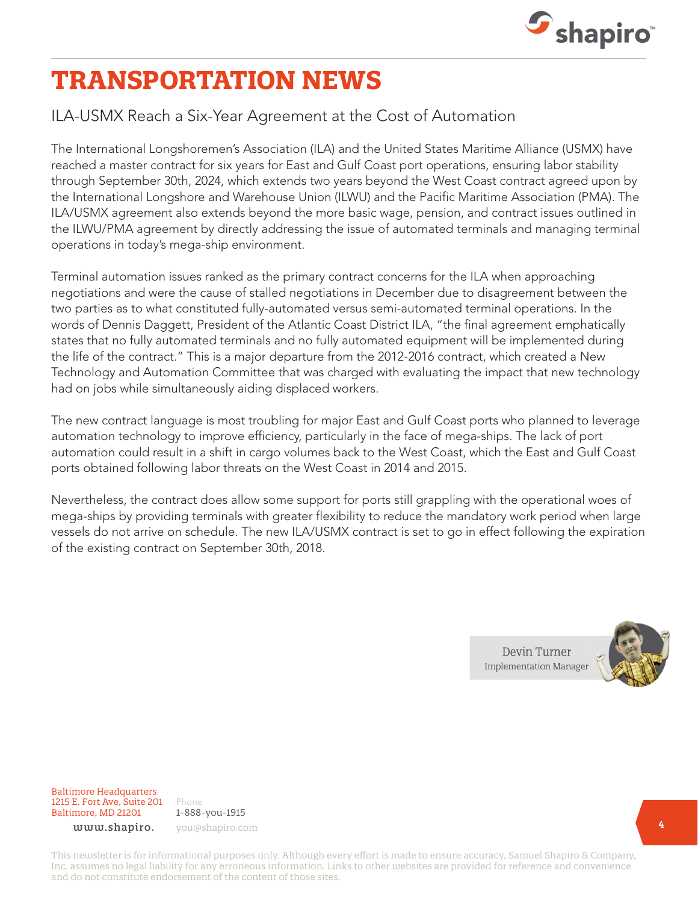

# **TRANSPORTATION NEWS**

### ILA-USMX Reach a Six-Year Agreement at the Cost of Automation

The International Longshoremen's Association (ILA) and the United States Maritime Alliance (USMX) have reached a master contract for six years for East and Gulf Coast port operations, ensuring labor stability through September 30th, 2024, which extends two years beyond the West Coast contract agreed upon by the International Longshore and Warehouse Union (ILWU) and the Pacific Maritime Association (PMA). The ILA/USMX agreement also extends beyond the more basic wage, pension, and contract issues outlined in the ILWU/PMA agreement by directly addressing the issue of automated terminals and managing terminal operations in today's mega-ship environment.

Terminal automation issues ranked as the primary contract concerns for the ILA when approaching negotiations and were the cause of stalled negotiations in December due to disagreement between the two parties as to what constituted fully-automated versus semi-automated terminal operations. In the words of Dennis Daggett, President of the Atlantic Coast District ILA, "the final agreement emphatically states that no fully automated terminals and no fully automated equipment will be implemented during the life of the contract." This is a major departure from the 2012-2016 contract, which created a New Technology and Automation Committee that was charged with evaluating the impact that new technology had on jobs while simultaneously aiding displaced workers.

The new contract language is most troubling for major East and Gulf Coast ports who planned to leverage automation technology to improve efficiency, particularly in the face of mega-ships. The lack of port automation could result in a shift in cargo volumes back to the West Coast, which the East and Gulf Coast ports obtained following labor threats on the West Coast in 2014 and 2015.

Nevertheless, the contract does allow some support for ports still grappling with the operational woes of mega-ships by providing terminals with greater flexibility to reduce the mandatory work period when large vessels do not arrive on schedule. The new ILA/USMX contract is set to go in effect following the expiration of the existing contract on September 30th, 2018.



Baltimore Headquarters 1215 E. Fort Ave, Suite 201 Baltimore, MD 21201

Phone 1-888-you-1915 www.shapiro. you@shapiro.com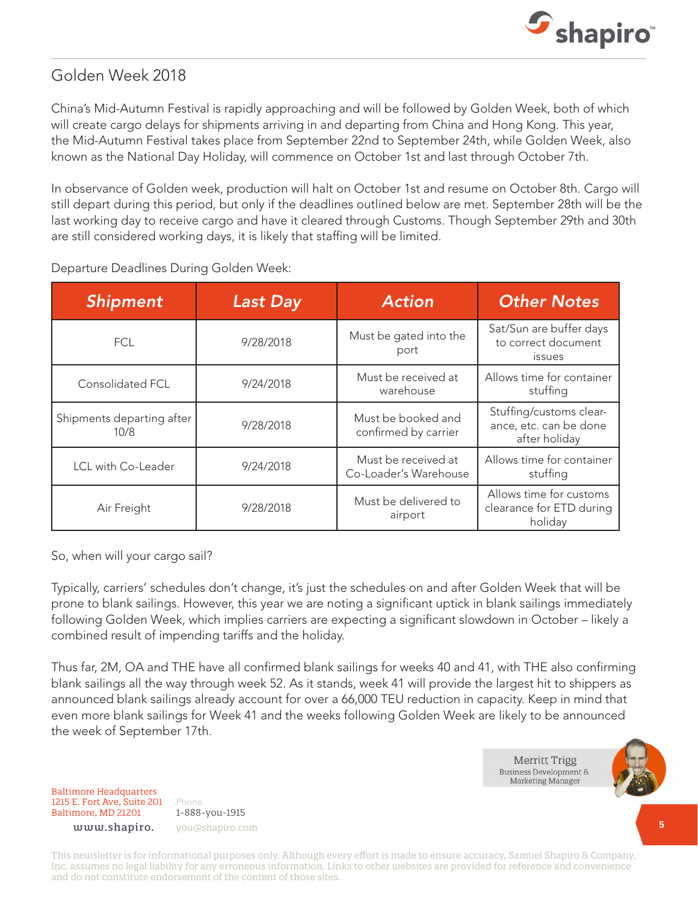

### Golden Week 2018

China's Mid-Autumn Festival is rapidly approaching and will be followed by Golden Week, both of which will create cargo delays for shipments arriving in and departing from China and Hong Kong. This year, the Mid-Autumn Festival takes place from September 22nd to September 24th, while Golden Week, also known as the National Day Holiday, will commence on October 1st and last through October 7th.

In observance of Golden week, production will halt on October 1st and resume on October 8th. Cargo will still depart during this period, but only if the deadlines outlined below are met. September 28th will be the last working day to receive cargo and have it cleared through Customs. Though September 29th and 30th are still considered working days, it is likely that staffing will be limited.

| <b>Shipment</b>                   | <b>Last Day</b> | <b>Action</b>                                | <b>Other Notes</b>                                                 |
|-----------------------------------|-----------------|----------------------------------------------|--------------------------------------------------------------------|
| FCL.                              | 9/28/2018       | Must be gated into the<br>port               | Sat/Sun are buffer days<br>to correct document<br><i>issues</i>    |
| Consolidated FCL                  | 9/24/2018       | Must be received at<br>warehouse             | Allows time for container<br>stuffing                              |
| Shipments departing after<br>10/8 | 9/28/2018       | Must be booked and<br>confirmed by carrier   | Stuffing/customs clear-<br>ance, etc. can be done<br>after holiday |
| LCL with Co-Leader                | 9/24/2018       | Must be received at<br>Co-Loader's Warehouse | Allows time for container<br>stuffing                              |
| Air Freight                       | 9/28/2018       | Must be delivered to<br>airport              | Allows time for customs<br>clearance for ETD during<br>holiday     |

#### Departure Deadlines During Golden Week:

So, when will your cargo sail?

Typically, carriers' schedules don't change, it's just the schedules on and after Golden Week that will be prone to blank sailings. However, this year we are noting a significant uptick in blank sailings immediately following Golden Week, which implies carriers are expecting a significant slowdown in October – likely a combined result of impending tariffs and the holiday.

Thus far, 2M, OA and THE have all confirmed blank sailings for weeks 40 and 41, with THE also confirming blank sailings all the way through week 52. As it stands, week 41 will provide the largest hit to shippers as announced blank sailings already account for over a 66,000 TEU reduction in capacity. Keep in mind that even more blank sailings for Week 41 and the weeks following Golden Week are likely to be announced the week of September 17th.

> Merritt Trigg Business Development & **Marketing Manager**



Baltimore Headquarters 1215 E. Fort Ave, Suite 201 Baltimore, MD 21201

Phone 1-888-you-1915 www.shapiro. you@shapiro.com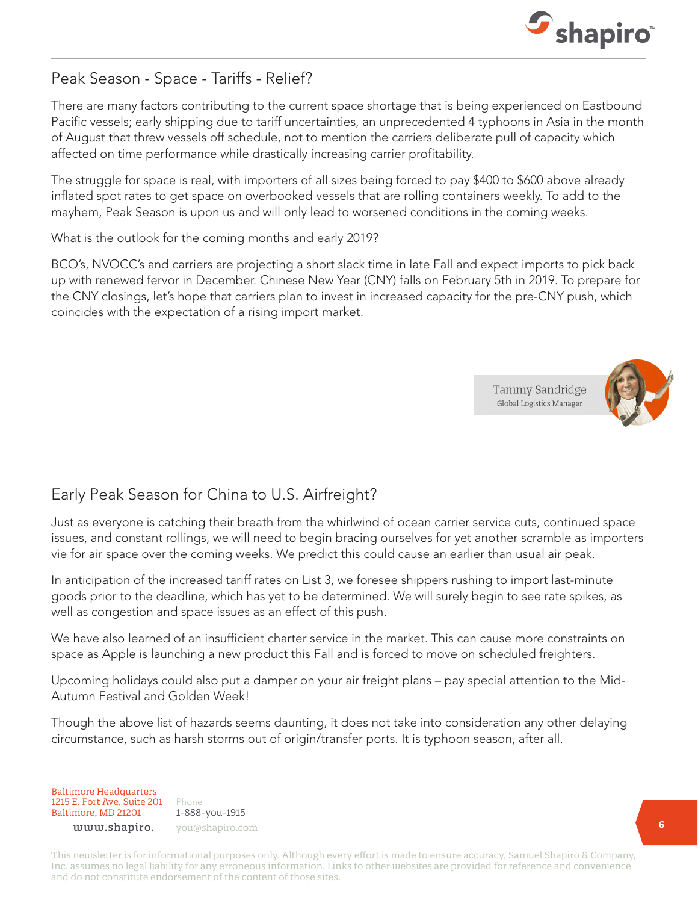

### Peak Season - Space - Tariffs - Relief?

There are many factors contributing to the current space shortage that is being experienced on Eastbound Pacific vessels; early shipping due to tariff uncertainties, an unprecedented 4 typhoons in Asia in the month of August that threw vessels off schedule, not to mention the carriers deliberate pull of capacity which affected on time performance while drastically increasing carrier profitability.

The struggle for space is real, with importers of all sizes being forced to pay \$400 to \$600 above already inflated spot rates to get space on overbooked vessels that are rolling containers weekly. To add to the mayhem, Peak Season is upon us and will only lead to worsened conditions in the coming weeks.

What is the outlook for the coming months and early 2019?

BCO's, NVOCC's and carriers are projecting a short slack time in late Fall and expect imports to pick back up with renewed fervor in December. Chinese New Year (CNY) falls on February 5th in 2019. To prepare for the CNY closings, let's hope that carriers plan to invest in increased capacity for the pre-CNY push, which coincides with the expectation of a rising import market.

> Tammy Sandridge **Global Logistics Manager**



# Early Peak Season for China to U.S. Airfreight?

Just as everyone is catching their breath from the whirlwind of ocean carrier service cuts, continued space issues, and constant rollings, we will need to begin bracing ourselves for yet another scramble as importers vie for air space over the coming weeks. We predict this could cause an earlier than usual air peak.

In anticipation of the increased tariff rates on List 3, we foresee shippers rushing to import last-minute goods prior to the deadline, which has yet to be determined. We will surely begin to see rate spikes, as well as congestion and space issues as an effect of this push.

We have also learned of an insufficient charter service in the market. This can cause more constraints on space as Apple is launching a new product this Fall and is forced to move on scheduled freighters.

Upcoming holidays could also put a damper on your air freight plans – pay special attention to the Mid-Autumn Festival and Golden Week!

Though the above list of hazards seems daunting, it does not take into consideration any other delaying circumstance, such as harsh storms out of origin/transfer ports. It is typhoon season, after all.

Baltimore Headquarters 1215 E. Fort Ave, Suite 201 Baltimore, MD 21201

Phone 1-888-you-1915 www.shapiro. you@shapiro.com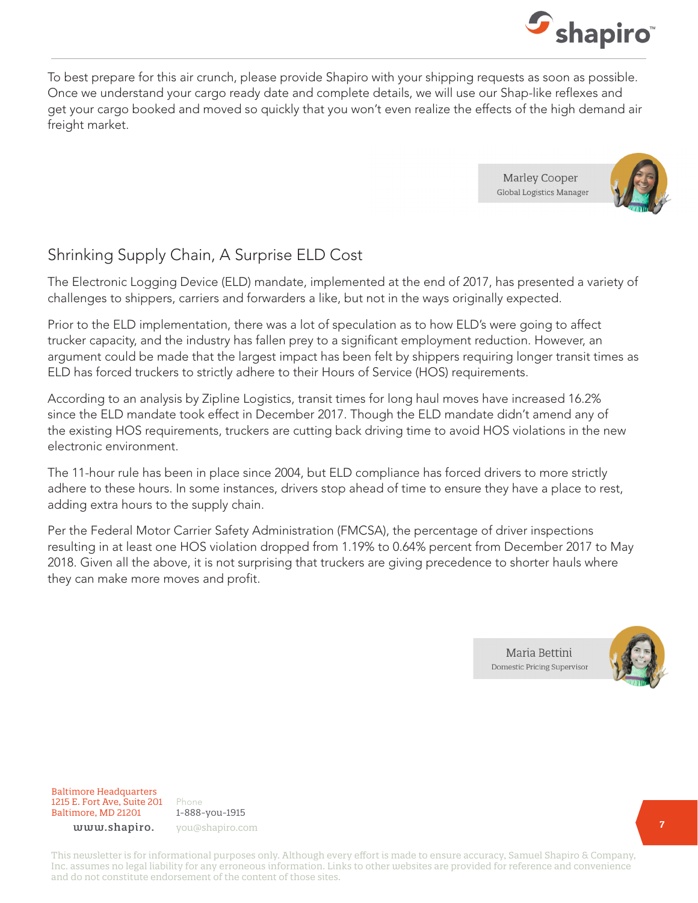

To best prepare for this air crunch, please provide Shapiro with your shipping requests as soon as possible. Once we understand your cargo ready date and complete details, we will use our Shap-like reflexes and get your cargo booked and moved so quickly that you won't even realize the effects of the high demand air freight market.

> Marley Cooper **Global Logistics Manager**



# Shrinking Supply Chain, A Surprise ELD Cost

The Electronic Logging Device (ELD) mandate, implemented at the end of 2017, has presented a variety of challenges to shippers, carriers and forwarders a like, but not in the ways originally expected.

Prior to the ELD implementation, there was a lot of speculation as to how ELD's were going to affect trucker capacity, and the industry has fallen prey to a significant employment reduction. However, an argument could be made that the largest impact has been felt by shippers requiring longer transit times as ELD has forced truckers to strictly adhere to their Hours of Service (HOS) requirements.

According to an analysis by Zipline Logistics, transit times for long haul moves have increased 16.2% since the ELD mandate took effect in December 2017. Though the ELD mandate didn't amend any of the existing HOS requirements, truckers are cutting back driving time to avoid HOS violations in the new electronic environment.

The 11-hour rule has been in place since 2004, but ELD compliance has forced drivers to more strictly adhere to these hours. In some instances, drivers stop ahead of time to ensure they have a place to rest, adding extra hours to the supply chain.

Per the Federal Motor Carrier Safety Administration (FMCSA), the percentage of driver inspections resulting in at least one HOS violation dropped from 1.19% to 0.64% percent from December 2017 to May 2018. Given all the above, it is not surprising that truckers are giving precedence to shorter hauls where they can make more moves and profit.



Baltimore Headquarters 1215 E. Fort Ave, Suite 201 Baltimore, MD 21201

Phone 1-888-you-1915 www.shapiro. you@shapiro.com